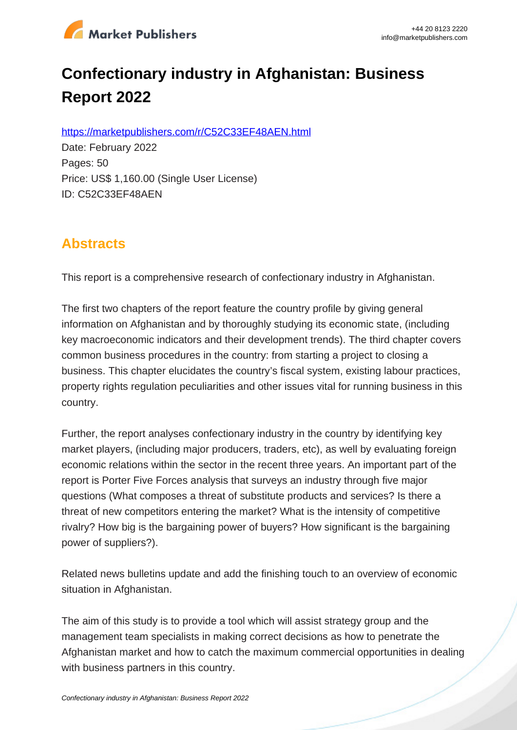

# **Confectionary industry in Afghanistan: Business Report 2022**

https://marketpublishers.com/r/C52C33EF48AEN.html

Date: February 2022 Pages: 50 Price: US\$ 1,160.00 (Single User License) ID: C52C33EF48AEN

# **Abstracts**

This report is a comprehensive research of confectionary industry in Afghanistan.

The first two chapters of the report feature the country profile by giving general information on Afghanistan and by thoroughly studying its economic state, (including key macroeconomic indicators and their development trends). The third chapter covers common business procedures in the country: from starting a project to closing a business. This chapter elucidates the country's fiscal system, existing labour practices, property rights regulation peculiarities and other issues vital for running business in this country.

Further, the report analyses confectionary industry in the country by identifying key market players, (including major producers, traders, etc), as well by evaluating foreign economic relations within the sector in the recent three years. An important part of the report is Porter Five Forces analysis that surveys an industry through five major questions (What composes a threat of substitute products and services? Is there a threat of new competitors entering the market? What is the intensity of competitive rivalry? How big is the bargaining power of buyers? How significant is the bargaining power of suppliers?).

Related news bulletins update and add the finishing touch to an overview of economic situation in Afghanistan.

The aim of this study is to provide a tool which will assist strategy group and the management team specialists in making correct decisions as how to penetrate the Afghanistan market and how to catch the maximum commercial opportunities in dealing with business partners in this country.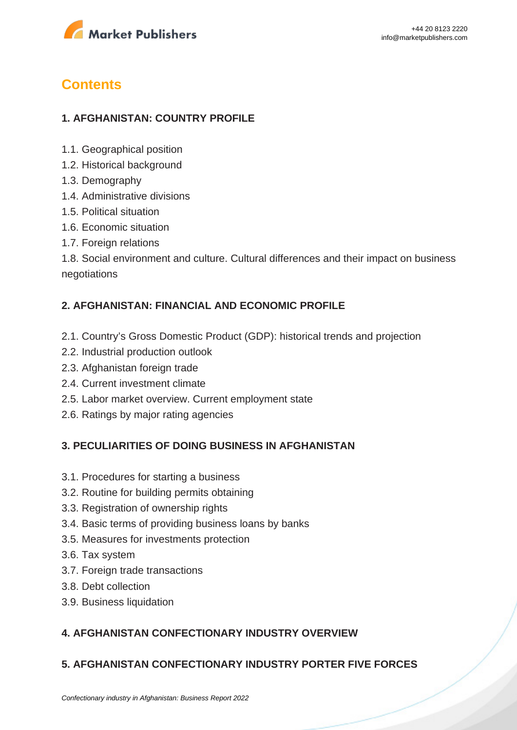

# **Contents**

# **1. AFGHANISTAN: COUNTRY PROFILE**

- 1.1. Geographical position
- 1.2. Historical background
- 1.3. Demography
- 1.4. Administrative divisions
- 1.5. Political situation
- 1.6. Economic situation
- 1.7. Foreign relations

1.8. Social environment and culture. Cultural differences and their impact on business negotiations

### **2. AFGHANISTAN: FINANCIAL AND ECONOMIC PROFILE**

- 2.1. Country's Gross Domestic Product (GDP): historical trends and projection
- 2.2. Industrial production outlook
- 2.3. Afghanistan foreign trade
- 2.4. Current investment climate
- 2.5. Labor market overview. Current employment state
- 2.6. Ratings by major rating agencies

#### **3. PECULIARITIES OF DOING BUSINESS IN AFGHANISTAN**

- 3.1. Procedures for starting a business
- 3.2. Routine for building permits obtaining
- 3.3. Registration of ownership rights
- 3.4. Basic terms of providing business loans by banks
- 3.5. Measures for investments protection
- 3.6. Tax system
- 3.7. Foreign trade transactions
- 3.8. Debt collection
- 3.9. Business liquidation

## **4. AFGHANISTAN CONFECTIONARY INDUSTRY OVERVIEW**

## **5. AFGHANISTAN CONFECTIONARY INDUSTRY PORTER FIVE FORCES**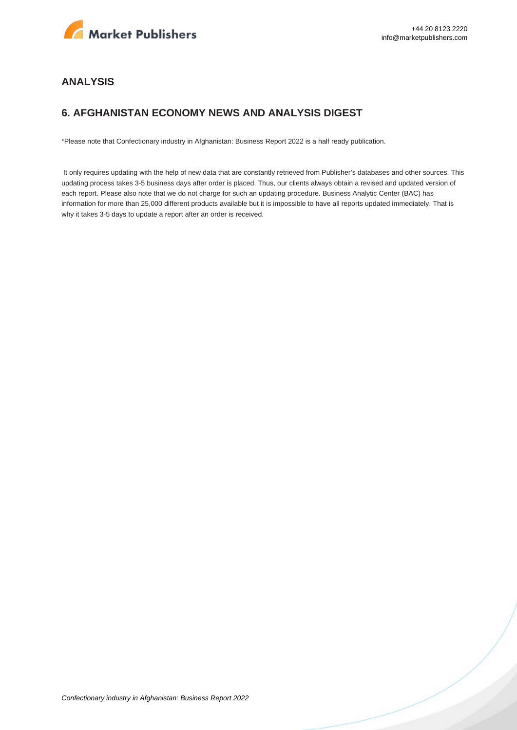

#### **ANALYSIS**

### **6. AFGHANISTAN ECONOMY NEWS AND ANALYSIS DIGEST**

\*Please note that Confectionary industry in Afghanistan: Business Report 2022 is a half ready publication.

 It only requires updating with the help of new data that are constantly retrieved from Publisher's databases and other sources. This updating process takes 3-5 business days after order is placed. Thus, our clients always obtain a revised and updated version of each report. Please also note that we do not charge for such an updating procedure. Business Analytic Center (BAC) has information for more than 25,000 different products available but it is impossible to have all reports updated immediately. That is why it takes 3-5 days to update a report after an order is received.